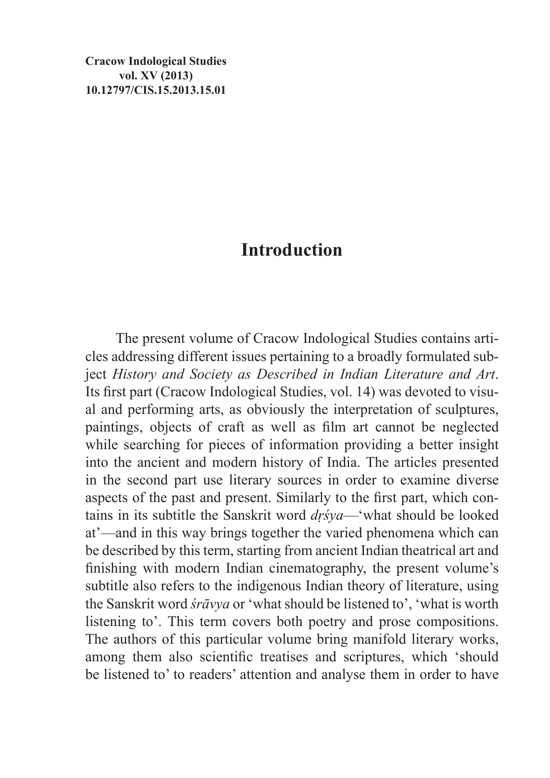**Cracow Indological Studies vol. XV (2013) 10.12797/CIS.15.2013.15.01**

## **Introduction**

The present volume of Cracow Indological Studies contains articles addressing different issues pertaining to a broadly formulated subject *History and Society as Described in Indian Literature and Art*. Its first part (Cracow Indological Studies, vol. 14) was devoted to visual and performing arts, as obviously the interpretation of sculptures, paintings, objects of craft as well as film art cannot be neglected while searching for pieces of information providing a better insight into the ancient and modern history of India. The articles presented in the second part use literary sources in order to examine diverse aspects of the past and present. Similarly to the first part, which contains in its subtitle the Sanskrit word *dṛśya*—'what should be looked at'—and in this way brings together the varied phenomena which can be described by this term, starting from ancient Indian theatrical art and finishing with modern Indian cinematography, the present volume's subtitle also refers to the indigenous Indian theory of literature, using the Sanskrit word *śrāvya* or 'what should be listened to', 'what is worth listening to'. This term covers both poetry and prose compositions. The authors of this particular volume bring manifold literary works, among them also scientific treatises and scriptures, which 'should be listened to' to readers' attention and analyse them in order to have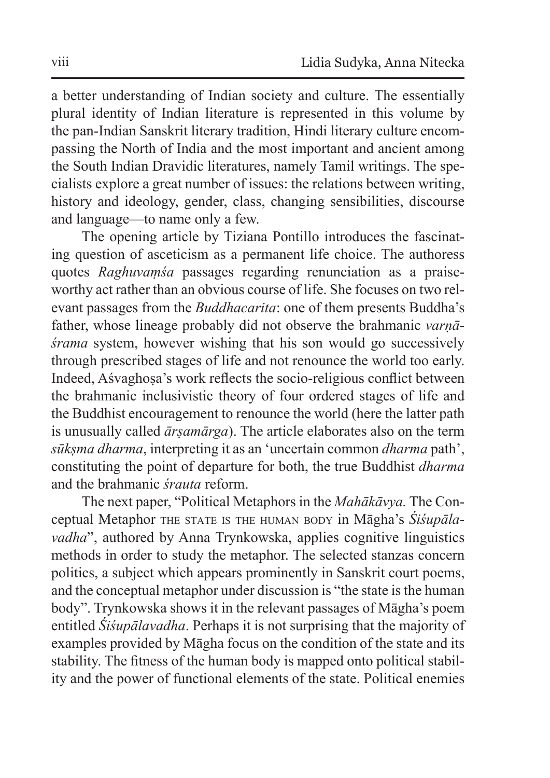a better understanding of Indian society and culture. The essentially plural identity of Indian literature is represented in this volume by the pan-Indian Sanskrit literary tradition, Hindi literary culture encompassing the North of India and the most important and ancient among the South Indian Dravidic literatures, namely Tamil writings. The specialists explore a great number of issues: the relations between writing, history and ideology, gender, class, changing sensibilities, discourse and language—to name only a few.

The opening article by Tiziana Pontillo introduces the fascinating question of asceticism as a permanent life choice. The authoress quotes *Raghuvaṃśa* passages regarding renunciation as a praiseworthy act rather than an obvious course of life. She focuses on two relevant passages from the *Buddhacarita*: one of them presents Buddha's father, whose lineage probably did not observe the brahmanic *varṇāśrama* system, however wishing that his son would go successively through prescribed stages of life and not renounce the world too early. Indeed, Aśvaghoṣa's work reflects the socio-religious conflict between the brahmanic inclusivistic theory of four ordered stages of life and the Buddhist encouragement to renounce the world (here the latter path is unusually called *ārṣamārga*). The article elaborates also on the term *sūkṣma dharma*, interpreting it as an 'uncertain common *dharma* path', constituting the point of departure for both, the true Buddhist *dharma* and the brahmanic *śrauta* reform.

The next paper, "Political Metaphors in the *Mahākāvya.* The Conceptual Metaphor the state is the human body in Māgha's *Śiśupālavadha*", authored by Anna Trynkowska, applies cognitive linguistics methods in order to study the metaphor. The selected stanzas concern politics, a subject which appears prominently in Sanskrit court poems, and the conceptual metaphor under discussion is "the state is the human body". Trynkowska shows it in the relevant passages of Māgha's poem entitled *Śiśupālavadha*. Perhaps it is not surprising that the majority of examples provided by Māgha focus on the condition of the state and its stability. The fitness of the human body is mapped onto political stability and the power of functional elements of the state. Political enemies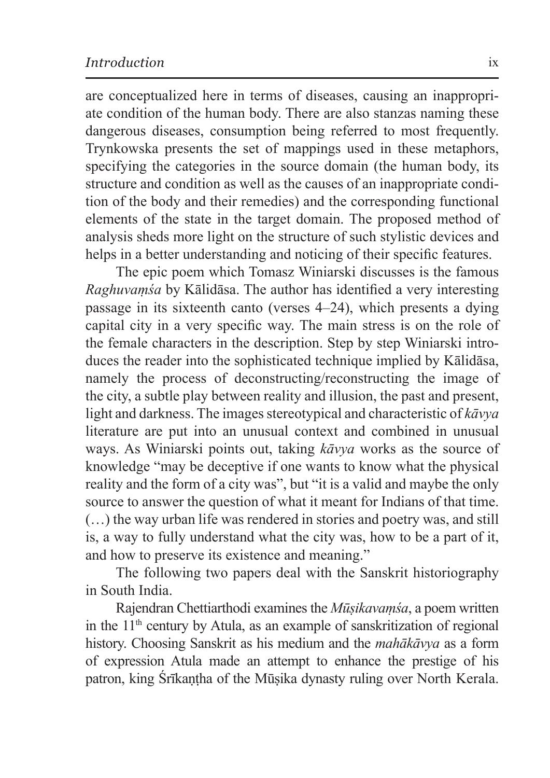are conceptualized here in terms of diseases, causing an inappropriate condition of the human body. There are also stanzas naming these dangerous diseases, consumption being referred to most frequently. Trynkowska presents the set of mappings used in these metaphors, specifying the categories in the source domain (the human body, its structure and condition as well as the causes of an inappropriate condition of the body and their remedies) and the corresponding functional elements of the state in the target domain. The proposed method of analysis sheds more light on the structure of such stylistic devices and helps in a better understanding and noticing of their specific features.

The epic poem which Tomasz Winiarski discusses is the famous *Raghuvaṃśa* by Kālidāsa. The author has identified a very interesting passage in its sixteenth canto (verses 4–24), which presents a dying capital city in a very specific way. The main stress is on the role of the female characters in the description. Step by step Winiarski introduces the reader into the sophisticated technique implied by Kālidāsa, namely the process of deconstructing/reconstructing the image of the city, a subtle play between reality and illusion, the past and present, light and darkness. The images stereotypical and characteristic of *kāvya*  literature are put into an unusual context and combined in unusual ways. As Winiarski points out, taking *kāvya* works as the source of knowledge "may be deceptive if one wants to know what the physical reality and the form of a city was", but "it is a valid and maybe the only source to answer the question of what it meant for Indians of that time. (…) the way urban life was rendered in stories and poetry was, and still is, a way to fully understand what the city was, how to be a part of it, and how to preserve its existence and meaning."

The following two papers deal with the Sanskrit historiography in South India.

Rajendran Chettiarthodi examines the *Mūṣikavaṃśa*, a poem written in the  $11<sup>th</sup>$  century by Atula, as an example of sanskritization of regional history. Choosing Sanskrit as his medium and the *mahākāvya* as a form of expression Atula made an attempt to enhance the prestige of his patron, king Śrīkantha of the Mūsika dynasty ruling over North Kerala.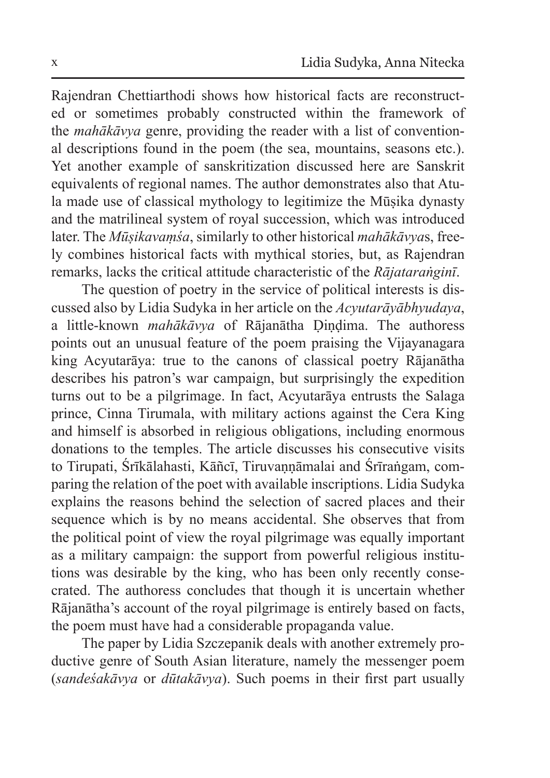Rajendran Chettiarthodi shows how historical facts are reconstructed or sometimes probably constructed within the framework of the *mahākāvya* genre, providing the reader with a list of conventional descriptions found in the poem (the sea, mountains, seasons etc.). Yet another example of sanskritization discussed here are Sanskrit equivalents of regional names. The author demonstrates also that Atula made use of classical mythology to legitimize the Mūṣika dynasty and the matrilineal system of royal succession, which was introduced later. The *Mūṣikavaṃśa*, similarly to other historical *mahākāvya*s, freely combines historical facts with mythical stories, but, as Rajendran remarks, lacks the critical attitude characteristic of the *Rājataraṅginī*.

The question of poetry in the service of political interests is discussed also by Lidia Sudyka in her article on the *Acyutarāyābhyudaya*, a little-known *mahākāvya* of Rājanātha Ḍiṇḍima. The authoress points out an unusual feature of the poem praising the Vijayanagara king Acyutarāya: true to the canons of classical poetry Rājanātha describes his patron's war campaign, but surprisingly the expedition turns out to be a pilgrimage. In fact, Acyutarāya entrusts the Salaga prince, Cinna Tirumala, with military actions against the Cera King and himself is absorbed in religious obligations, including enormous donations to the temples. The article discusses his consecutive visits to Tirupati, Śrīkālahasti, Kāñcī, Tiruvannāmalai and Śrīraṅgam, comparing the relation of the poet with available inscriptions. Lidia Sudyka explains the reasons behind the selection of sacred places and their sequence which is by no means accidental. She observes that from the political point of view the royal pilgrimage was equally important as a military campaign: the support from powerful religious institutions was desirable by the king, who has been only recently consecrated. The authoress concludes that though it is uncertain whether Rājanātha's account of the royal pilgrimage is entirely based on facts, the poem must have had a considerable propaganda value.

The paper by Lidia Szczepanik deals with another extremely productive genre of South Asian literature, namely the messenger poem (*sandeśakāvya* or *dūtakāvya*). Such poems in their first part usually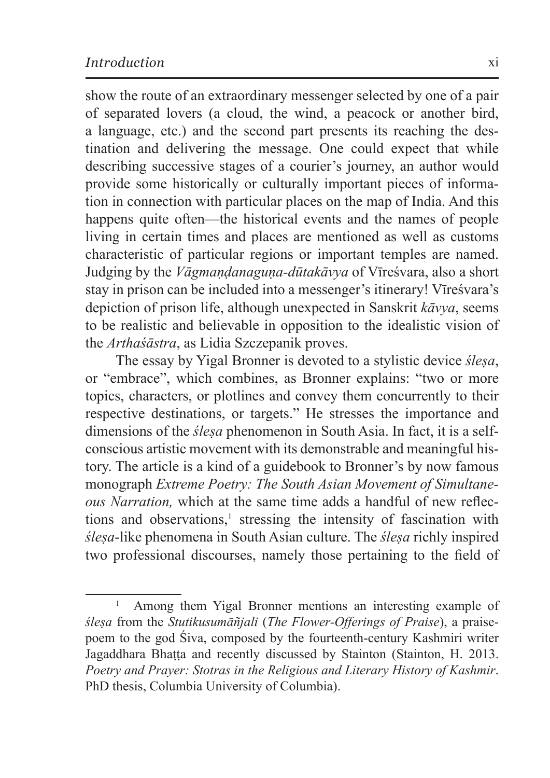show the route of an extraordinary messenger selected by one of a pair of separated lovers (a cloud, the wind, a peacock or another bird, a language, etc.) and the second part presents its reaching the destination and delivering the message. One could expect that while describing successive stages of a courier's journey, an author would provide some historically or culturally important pieces of information in connection with particular places on the map of India. And this happens quite often—the historical events and the names of people living in certain times and places are mentioned as well as customs characteristic of particular regions or important temples are named. Judging by the *Vāgmaṇḍanaguṇa-dūtakāvya* of Vīreśvara, also a short stay in prison can be included into a messenger's itinerary! Vīreśvara's depiction of prison life, although unexpected in Sanskrit *kāvya*, seems to be realistic and believable in opposition to the idealistic vision of the *Arthaśāstra*, as Lidia Szczepanik proves.

The essay by Yigal Bronner is devoted to a stylistic device *śleṣa*, or "embrace", which combines, as Bronner explains: "two or more topics, characters, or plotlines and convey them concurrently to their respective destinations, or targets." He stresses the importance and dimensions of the *ślesa* phenomenon in South Asia. In fact, it is a selfconscious artistic movement with its demonstrable and meaningful history. The article is a kind of a guidebook to Bronner's by now famous monograph *Extreme Poetry: The South Asian Movement of Simultaneous Narration,* which at the same time adds a handful of new reflections and observations,<sup>1</sup> stressing the intensity of fascination with *śleṣa*-like phenomena in South Asian culture. The *śleṣa* richly inspired two professional discourses, namely those pertaining to the field of

<sup>1</sup> Among them Yigal Bronner mentions an interesting example of *śleṣa* from the *Stutikusumāñjali* (*The Flower-Offerings of Praise*), a praisepoem to the god Śiva, composed by the fourteenth-century Kashmiri writer Jagaddhara Bhaṭṭa and recently discussed by Stainton (Stainton, H. 2013. *Poetry and Prayer: Stotras in the Religious and Literary History of Kashmir*. PhD thesis, Columbia University of Columbia).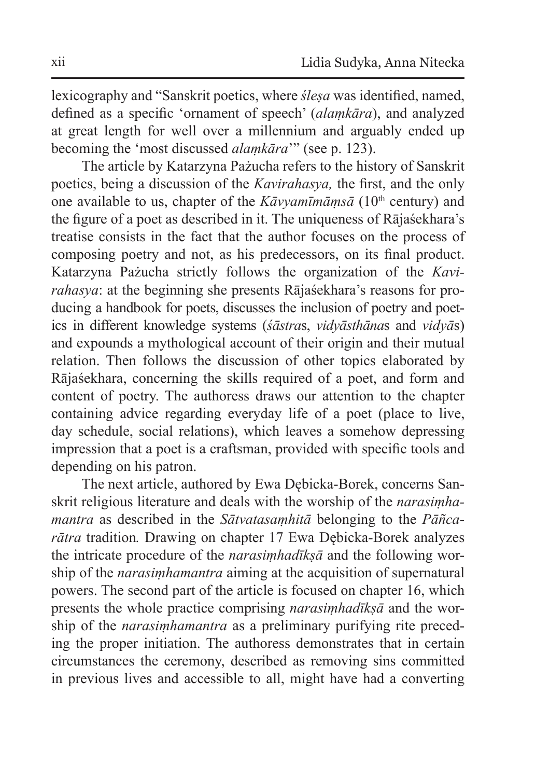lexicography and "Sanskrit poetics, where *śleṣa* was identified, named, defined as a specific 'ornament of speech' (*alaṃkāra*), and analyzed at great length for well over a millennium and arguably ended up becoming the 'most discussed *alaṃkāra*'" (see p. 123).

The article by Katarzyna Pażucha refers to the history of Sanskrit poetics, being a discussion of the *Kavirahasya,* the first, and the only one available to us, chapter of the  $K\bar{a}v\gamma\gamma\gamma$  and  $\gamma$  (10<sup>th</sup> century) and the figure of a poet as described in it. The uniqueness of Rājaśekhara's treatise consists in the fact that the author focuses on the process of composing poetry and not, as his predecessors, on its final product. Katarzyna Pażucha strictly follows the organization of the *Kavirahasya*: at the beginning she presents Rājaśekhara's reasons for producing a handbook for poets, discusses the inclusion of poetry and poetics in different knowledge systems (*śāstra*s, *vidyāsthāna*s and *vidyā*s) and expounds a mythological account of their origin and their mutual relation. Then follows the discussion of other topics elaborated by Rājaśekhara, concerning the skills required of a poet, and form and content of poetry. The authoress draws our attention to the chapter containing advice regarding everyday life of a poet (place to live, day schedule, social relations), which leaves a somehow depressing impression that a poet is a craftsman, provided with specific tools and depending on his patron.

The next article, authored by Ewa Dębicka-Borek, concerns Sanskrit religious literature and deals with the worship of the *narasiṃhamantra* as described in the *Sātvatasaṃhitā* belonging to the *Pāñcarātra* tradition*.* Drawing on chapter 17 Ewa Dębicka-Borek analyzes the intricate procedure of the *narasiṃhadīkṣā* and the following worship of the *narasiṃhamantra* aiming at the acquisition of supernatural powers. The second part of the article is focused on chapter 16, which presents the whole practice comprising *narasiṃhadīkṣā* and the worship of the *narasiṃhamantra* as a preliminary purifying rite preceding the proper initiation. The authoress demonstrates that in certain circumstances the ceremony, described as removing sins committed in previous lives and accessible to all, might have had a converting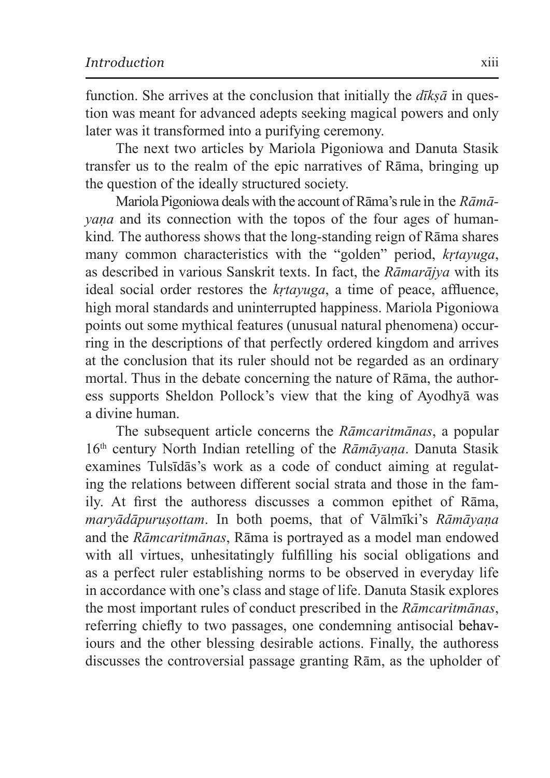function. She arrives at the conclusion that initially the  $d\overline{k} s\overline{a}$  in question was meant for advanced adepts seeking magical powers and only later was it transformed into a purifying ceremony.

The next two articles by Mariola Pigoniowa and Danuta Stasik transfer us to the realm of the epic narratives of Rāma, bringing up the question of the ideally structured society.

Mariola Pigoniowa deals with the account of Rāma's rule in the *Rāmāyaṇa* and its connection with the topos of the four ages of humankind*.* The authoress shows that the long-standing reign of Rāma shares many common characteristics with the "golden" period, *kṛtayuga*, as described in various Sanskrit texts. In fact, the *Rāmarājya* with its ideal social order restores the *kṛtayuga*, a time of peace, affluence, high moral standards and uninterrupted happiness. Mariola Pigoniowa points out some mythical features (unusual natural phenomena) occurring in the descriptions of that perfectly ordered kingdom and arrives at the conclusion that its ruler should not be regarded as an ordinary mortal. Thus in the debate concerning the nature of Rāma, the authoress supports Sheldon Pollock's view that the king of Ayodhyā was a divine human.

The subsequent article concerns the *Rāmcaritmānas*, a popular 16th century North Indian retelling of the *Rāmāyaṇa*. Danuta Stasik examines Tulsīdās's work as a code of conduct aiming at regulating the relations between different social strata and those in the family. At first the authoress discusses a common epithet of Rāma, *maryādāpuruṣottam*. In both poems, that of Vālmīki's *Rāmāyaṇa* and the *Rāmcaritmānas*, Rāma is portrayed as a model man endowed with all virtues, unhesitatingly fulfilling his social obligations and as a perfect ruler establishing norms to be observed in everyday life in accordance with one's class and stage of life. Danuta Stasik explores the most important rules of conduct prescribed in the *Rāmcaritmānas*, referring chiefly to two passages, one condemning antisocial behaviours and the other blessing desirable actions. Finally, the authoress discusses the controversial passage granting Rām, as the upholder of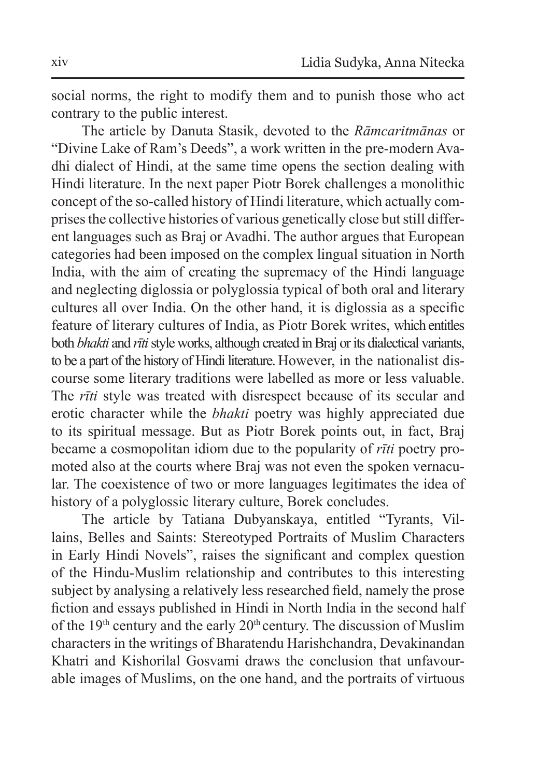social norms, the right to modify them and to punish those who act contrary to the public interest.

The article by Danuta Stasik, devoted to the *Rāmcaritmānas* or "Divine Lake of Ram's Deeds", a work written in the pre-modern Avadhi dialect of Hindi, at the same time opens the section dealing with Hindi literature. In the next paper Piotr Borek challenges a monolithic concept of the so-called history of Hindi literature, which actually comprises the collective histories of various genetically close but still different languages such as Braj or Avadhi. The author argues that European categories had been imposed on the complex lingual situation in North India, with the aim of creating the supremacy of the Hindi language and neglecting diglossia or polyglossia typical of both oral and literary cultures all over India. On the other hand, it is diglossia as a specific feature of literary cultures of India, as Piotr Borek writes, which entitles both *bhakti* and *rīti* style works, although created in Braj or its dialectical variants, to be a part of the history of Hindi literature. However, in the nationalist discourse some literary traditions were labelled as more or less valuable. The *rīti* style was treated with disrespect because of its secular and erotic character while the *bhakti* poetry was highly appreciated due to its spiritual message. But as Piotr Borek points out, in fact, Braj became a cosmopolitan idiom due to the popularity of *rīti* poetry promoted also at the courts where Braj was not even the spoken vernacular. The coexistence of two or more languages legitimates the idea of history of a polyglossic literary culture, Borek concludes.

The article by Tatiana Dubyanskaya, entitled "Tyrants, Villains, Belles and Saints: Stereotyped Portraits of Muslim Characters in Early Hindi Novels", raises the significant and complex question of the Hindu-Muslim relationship and contributes to this interesting subject by analysing a relatively less researched field, namely the prose fiction and essays published in Hindi in North India in the second half of the  $19<sup>th</sup>$  century and the early  $20<sup>th</sup>$  century. The discussion of Muslim characters in the writings of Bharatendu Harishchandra, Devakinandan Khatri and Kishorilal Gosvami draws the conclusion that unfavourable images of Muslims, on the one hand, and the portraits of virtuous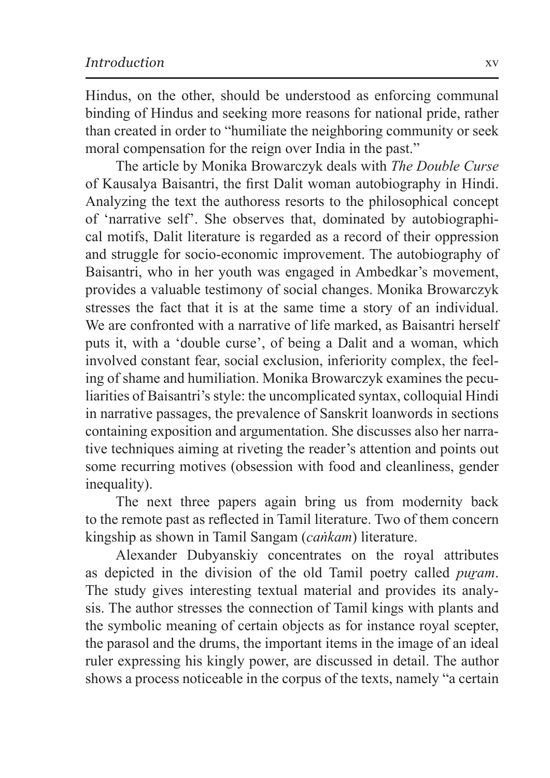Hindus, on the other, should be understood as enforcing communal binding of Hindus and seeking more reasons for national pride, rather than created in order to "humiliate the neighboring community or seek moral compensation for the reign over India in the past."

The article by Monika Browarczyk deals with *The Double Curse*  of Kausalya Baisantri, the first Dalit woman autobiography in Hindi. Analyzing the text the authoress resorts to the philosophical concept of 'narrative self'. She observes that, dominated by autobiographical motifs, Dalit literature is regarded as a record of their oppression and struggle for socio-economic improvement. The autobiography of Baisantri, who in her youth was engaged in Ambedkar's movement, provides a valuable testimony of social changes. Monika Browarczyk stresses the fact that it is at the same time a story of an individual. We are confronted with a narrative of life marked, as Baisantri herself puts it, with a 'double curse', of being a Dalit and a woman, which involved constant fear, social exclusion, inferiority complex, the feeling of shame and humiliation. Monika Browarczyk examines the peculiarities of Baisantri's style: the uncomplicated syntax, colloquial Hindi in narrative passages, the prevalence of Sanskrit loanwords in sections containing exposition and argumentation. She discusses also her narrative techniques aiming at riveting the reader's attention and points out some recurring motives (obsession with food and cleanliness, gender inequality).

The next three papers again bring us from modernity back to the remote past as reflected in Tamil literature. Two of them concern kingship as shown in Tamil Sangam (*caṅkam*) literature.

Alexander Dubyanskiy concentrates on the royal attributes as depicted in the division of the old Tamil poetry called *puram*. The study gives interesting textual material and provides its analysis. The author stresses the connection of Tamil kings with plants and the symbolic meaning of certain objects as for instance royal scepter, the parasol and the drums, the important items in the image of an ideal ruler expressing his kingly power, are discussed in detail. The author shows a process noticeable in the corpus of the texts, namely "a certain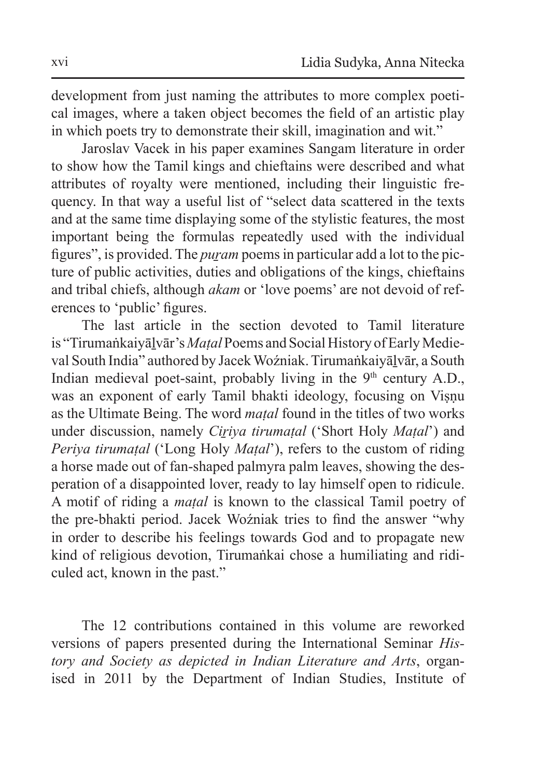development from just naming the attributes to more complex poetical images, where a taken object becomes the field of an artistic play in which poets try to demonstrate their skill, imagination and wit."

Jaroslav Vacek in his paper examines Sangam literature in order to show how the Tamil kings and chieftains were described and what attributes of royalty were mentioned, including their linguistic frequency. In that way a useful list of "select data scattered in the texts and at the same time displaying some of the stylistic features, the most important being the formulas repeatedly used with the individual figures", is provided. The *puram* poems in particular add a lot to the picture of public activities, duties and obligations of the kings, chieftains and tribal chiefs, although *akam* or 'love poems' are not devoid of references to 'public' figures.

The last article in the section devoted to Tamil literature is "Tirumaṅkaiyāḻvār's *Maṭal* Poems and Social History of Early Medieval South India" authored by Jacek Woźniak. Tirumaṅkaiyālvār, a South Indian medieval poet-saint, probably living in the  $9<sup>th</sup>$  century A.D., was an exponent of early Tamil bhakti ideology, focusing on Visnu as the Ultimate Being. The word *maṭal* found in the titles of two works under discussion, namely *Ciriya tirumatal* ('Short Holy *Matal*') and *Periya tirumaṭal* ('Long Holy *Maṭal*'), refers to the custom of riding a horse made out of fan-shaped palmyra palm leaves, showing the desperation of a disappointed lover, ready to lay himself open to ridicule. A motif of riding a *maṭal* is known to the classical Tamil poetry of the pre-bhakti period. Jacek Woźniak tries to find the answer "why in order to describe his feelings towards God and to propagate new kind of religious devotion, Tirumaṅkai chose a humiliating and ridiculed act, known in the past."

The 12 contributions contained in this volume are reworked versions of papers presented during the International Seminar *History and Society as depicted in Indian Literature and Arts*, organised in 2011 by the Department of Indian Studies, Institute of